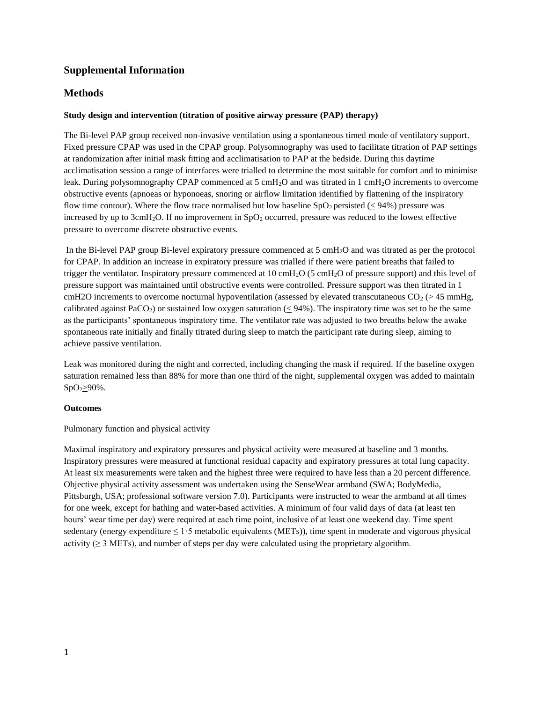# **Supplemental Information**

## **Methods**

## **Study design and intervention (titration of positive airway pressure (PAP) therapy)**

The Bi-level PAP group received non-invasive ventilation using a spontaneous timed mode of ventilatory support. Fixed pressure CPAP was used in the CPAP group. Polysomnography was used to facilitate titration of PAP settings at randomization after initial mask fitting and acclimatisation to PAP at the bedside. During this daytime acclimatisation session a range of interfaces were trialled to determine the most suitable for comfort and to minimise leak. During polysomnography CPAP commenced at 5 cmH<sub>2</sub>O and was titrated in 1 cmH<sub>2</sub>O increments to overcome obstructive events (apnoeas or hyponoeas, snoring or airflow limitation identified by flattening of the inspiratory flow time contour). Where the flow trace normalised but low baseline  $SpO<sub>2</sub>$  persisted (< 94%) pressure was increased by up to 3cmH<sub>2</sub>O. If no improvement in  $SpO<sub>2</sub>$  occurred, pressure was reduced to the lowest effective pressure to overcome discrete obstructive events.

In the Bi-level PAP group Bi-level expiratory pressure commenced at 5 cmH2O and was titrated as per the protocol for CPAP. In addition an increase in expiratory pressure was trialled if there were patient breaths that failed to trigger the ventilator. Inspiratory pressure commenced at 10 cmH2O (5 cmH2O of pressure support) and this level of pressure support was maintained until obstructive events were controlled. Pressure support was then titrated in 1 cmH2O increments to overcome nocturnal hypoventilation (assessed by elevated transcutaneous  $CO<sub>2</sub>$  (> 45 mmHg, calibrated against PaCO<sub>2</sub>) or sustained low oxygen saturation ( $< 94\%$ ). The inspiratory time was set to be the same as the participants' spontaneous inspiratory time. The ventilator rate was adjusted to two breaths below the awake spontaneous rate initially and finally titrated during sleep to match the participant rate during sleep, aiming to achieve passive ventilation.

Leak was monitored during the night and corrected, including changing the mask if required. If the baseline oxygen saturation remained less than 88% for more than one third of the night, supplemental oxygen was added to maintain  $SpO<sub>2</sub>$ 290%.

#### **Outcomes**

Pulmonary function and physical activity

Maximal inspiratory and expiratory pressures and physical activity were measured at baseline and 3 months. Inspiratory pressures were measured at functional residual capacity and expiratory pressures at total lung capacity. At least six measurements were taken and the highest three were required to have less than a 20 percent difference. Objective physical activity assessment was undertaken using the SenseWear armband (SWA; BodyMedia, Pittsburgh, USA; professional software version 7.0). Participants were instructed to wear the armband at all times for one week, except for bathing and water-based activities. A minimum of four valid days of data (at least ten hours' wear time per day) were required at each time point, inclusive of at least one weekend day. Time spent sedentary (energy expenditure  $\leq 1.5$  metabolic equivalents (METs)), time spent in moderate and vigorous physical activity ( $\geq$  3 METs), and number of steps per day were calculated using the proprietary algorithm.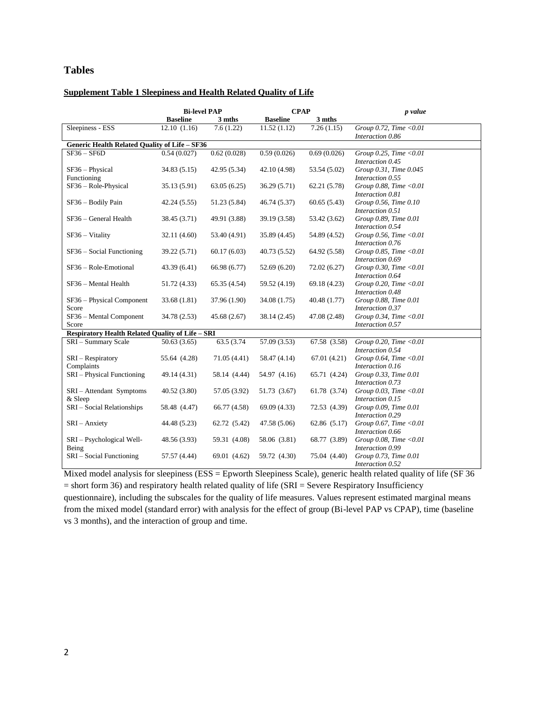# **Tables**

## **Supplement Table 1 Sleepiness and Health Related Quality of Life**

|                                                  | <b>Bi-level PAP</b> |              | <b>CPAP</b>     |              | p value                                                           |  |  |  |
|--------------------------------------------------|---------------------|--------------|-----------------|--------------|-------------------------------------------------------------------|--|--|--|
|                                                  | <b>Baseline</b>     | 3 mths       | <b>Baseline</b> | 3 mths       |                                                                   |  |  |  |
| Sleepiness - ESS                                 | 12.10(1.16)         | 7.6(1.22)    | 11.52(1.12)     | 7.26(1.15)   | Group 0.72, Time <0.01<br>Interaction 0.86                        |  |  |  |
| Generic Health Related Quality of Life - SF36    |                     |              |                 |              |                                                                   |  |  |  |
| $SF36 - SF6D$                                    | 0.54(0.027)         | 0.62(0.028)  | 0.59(0.026)     | 0.69(0.026)  | Group 0.25, Time < $0.01$<br>Interaction 0.45                     |  |  |  |
| SF36 - Physical<br>Functioning                   | 34.83(5.15)         | 42.95 (5.34) | 42.10 (4.98)    | 53.54 (5.02) | Group 0.31, Time 0.045<br>Interaction 0.55                        |  |  |  |
| SF36 - Role-Physical                             | 35.13 (5.91)        | 63.05(6.25)  | 36.29 (5.71)    | 62.21 (5.78) | Group 0.88, Time <0.01<br>Interaction 0.81                        |  |  |  |
| SF36 - Bodily Pain                               | 42.24(5.55)         | 51.23 (5.84) | 46.74 (5.37)    | 60.65(5.43)  | Group 0.56, Time 0.10<br>Interaction 0.51                         |  |  |  |
| SF36 - General Health                            | 38.45 (3.71)        | 49.91 (3.88) | 39.19 (3.58)    | 53.42 (3.62) | Group 0.89, Time 0.01<br>Interaction 0.54                         |  |  |  |
| $SF36 - Vitality$                                | 32.11 (4.60)        | 53.40 (4.91) | 35.89 (4.45)    | 54.89 (4.52) | Group 0.56, Time $< 0.01$<br>Interaction 0.76                     |  |  |  |
| $SF36 - Social Functioning$                      | 39.22 (5.71)        | 60.17(6.03)  | 40.73 (5.52)    | 64.92 (5.58) | Group 0.85, Time $< 0.01$<br>Interaction 0.69                     |  |  |  |
| SF36 - Role-Emotional                            | 43.39 (6.41)        | 66.98 (6.77) | 52.69(6.20)     | 72.02 (6.27) | Group 0.30, Time $< 0.01$                                         |  |  |  |
| SF36 - Mental Health                             | 51.72 (4.33)        | 65.35 (4.54) | 59.52 (4.19)    | 69.18 (4.23) | Interaction 0.64<br>Group 0.20, Time < $0.01$                     |  |  |  |
| SF36 - Physical Component                        | 33.68 (1.81)        | 37.96 (1.90) | 34.08 (1.75)    | 40.48 (1.77) | Interaction 0.48<br>Group 0.88, Time 0.01                         |  |  |  |
| Score<br>SF36 - Mental Component<br>Score        | 34.78 (2.53)        | 45.68 (2.67) | 38.14 (2.45)    | 47.08 (2.48) | Interaction 0.37<br>Group 0.34, Time < $0.01$<br>Interaction 0.57 |  |  |  |
| Respiratory Health Related Quality of Life - SRI |                     |              |                 |              |                                                                   |  |  |  |
| SRI-Summary Scale                                | 50.63(3.65)         | 63.5 (3.74)  | 57.09 (3.53)    | 67.58 (3.58) | Group 0.20, Time $< 0.01$<br>Interaction 0.54                     |  |  |  |
| SRI – Respiratory<br>Complaints                  | 55.64 (4.28)        | 71.05 (4.41) | 58.47 (4.14)    | 67.01 (4.21) | Group 0.64, Time $<$ 0.01<br>Interaction 0.16                     |  |  |  |
| SRI-Physical Functioning                         | 49.14 (4.31)        | 58.14 (4.44) | 54.97 (4.16)    | 65.71 (4.24) | Group 0.33, Time 0.01<br>Interaction 0.73                         |  |  |  |
| SRI-Attendant Symptoms<br>& Sleep                | 40.52(3.80)         | 57.05 (3.92) | 51.73 (3.67)    | 61.78 (3.74) | Group 0.03, Time <0.01<br>Interaction 0.15                        |  |  |  |
| SRI - Social Relationships                       | 58.48 (4.47)        | 66.77 (4.58) | 69.09 (4.33)    | 72.53 (4.39) | Group 0.09, Time 0.01<br>Interaction 0.29                         |  |  |  |
| $SRI - Anxiety$                                  | 44.48 (5.23)        | 62.72 (5.42) | 47.58 (5.06)    | 62.86 (5.17) | Group 0.67, Time $< 0.01$                                         |  |  |  |
| SRI-Psychological Well-<br>Being                 | 48.56 (3.93)        | 59.31 (4.08) | 58.06 (3.81)    | 68.77 (3.89) | Interaction 0.66<br>Group 0.08, Time < $0.01$<br>Interaction 0.99 |  |  |  |
| SRI – Social Functioning                         | 57.57 (4.44)        | 69.01 (4.62) | 59.72 (4.30)    | 75.04 (4.40) | Group 0.73, Time 0.01<br>Interaction 0.52                         |  |  |  |

Mixed model analysis for sleepiness (ESS = Epworth Sleepiness Scale), generic health related quality of life (SF 36  $=$  short form 36) and respiratory health related quality of life (SRI = Severe Respiratory Insufficiency questionnaire), including the subscales for the quality of life measures. Values represent estimated marginal means from the mixed model (standard error) with analysis for the effect of group (Bi-level PAP vs CPAP), time (baseline vs 3 months), and the interaction of group and time.